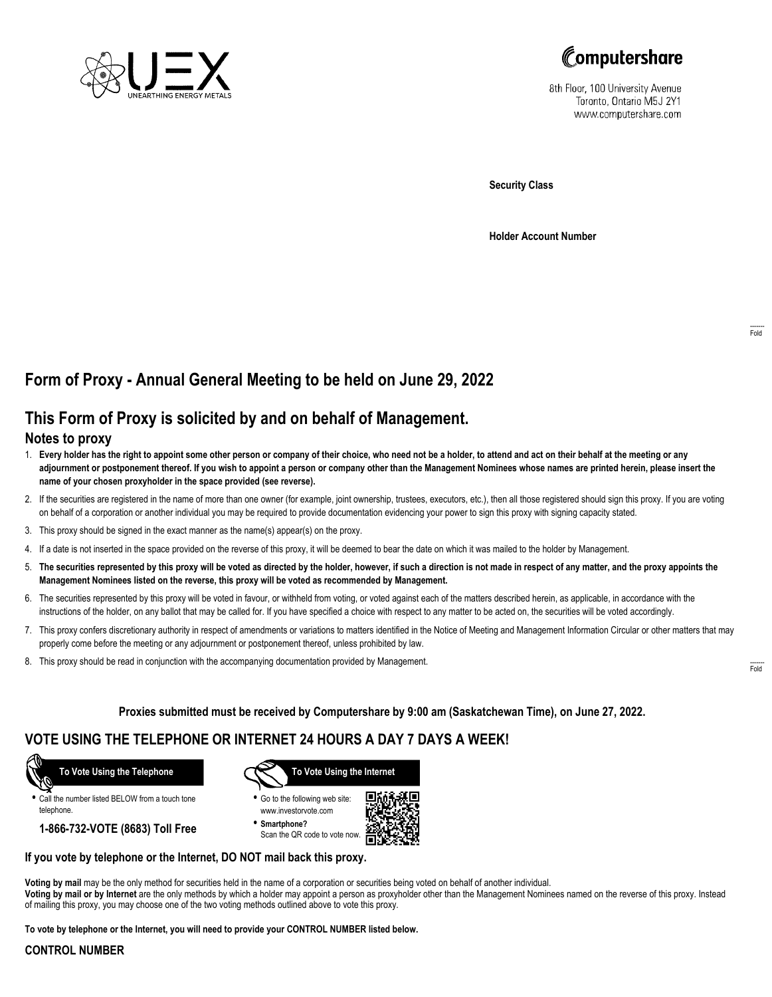



8th Floor, 100 University Avenue Toronto, Ontario M5J 2Y1 www.computershare.com

**Security Class**

**Holder Account Number**

# **Form of Proxy - Annual General Meeting to be held on June 29, 2022**

## **This Form of Proxy is solicited by and on behalf of Management.**

### **Notes to proxy**

- 1. **Every holder has the right to appoint some other person or company of their choice, who need not be a holder, to attend and act on their behalf at the meeting or any adjournment or postponement thereof. If you wish to appoint a person or company other than the Management Nominees whose names are printed herein, please insert the name of your chosen proxyholder in the space provided (see reverse).**
- 2. If the securities are registered in the name of more than one owner (for example, joint ownership, trustees, executors, etc.), then all those registered should sign this proxy. If you are voting on behalf of a corporation or another individual you may be required to provide documentation evidencing your power to sign this proxy with signing capacity stated.
- 3. This proxy should be signed in the exact manner as the name(s) appear(s) on the proxy.
- 4. If a date is not inserted in the space provided on the reverse of this proxy, it will be deemed to bear the date on which it was mailed to the holder by Management.
- 5. **The securities represented by this proxy will be voted as directed by the holder, however, if such a direction is not made in respect of any matter, and the proxy appoints the Management Nominees listed on the reverse, this proxy will be voted as recommended by Management.**
- 6. The securities represented by this proxy will be voted in favour, or withheld from voting, or voted against each of the matters described herein, as applicable, in accordance with the instructions of the holder, on any ballot that may be called for. If you have specified a choice with respect to any matter to be acted on, the securities will be voted accordingly.
- 7. This proxy confers discretionary authority in respect of amendments or variations to matters identified in the Notice of Meeting and Management Information Circular or other matters that may properly come before the meeting or any adjournment or postponement thereof, unless prohibited by law.
- 8. This proxy should be read in conjunction with the accompanying documentation provided by Management.

**Proxies submitted must be received by Computershare by 9:00 am (Saskatchewan Time), on June 27, 2022.**

## **VOTE USING THE TELEPHONE OR INTERNET 24 HOURS A DAY 7 DAYS A WEEK!**



**•** Call the number listed BELOW from a touch tone telephone.

**1-866-732-VOTE (8683) Toll Free**



**•** Go to the following web site: www.investorvote.com

**• Smartphone?** Scan the QR code to vote now.



#### **If you vote by telephone or the Internet, DO NOT mail back this proxy.**

**Voting by mail** may be the only method for securities held in the name of a corporation or securities being voted on behalf of another individual. **Voting by mail or by Internet** are the only methods by which a holder may appoint a person as proxyholder other than the Management Nominees named on the reverse of this proxy. Instead of mailing this proxy, you may choose one of the two voting methods outlined above to vote this proxy.

**To vote by telephone or the Internet, you will need to provide your CONTROL NUMBER listed below.**

#### **CONTROL NUMBER**